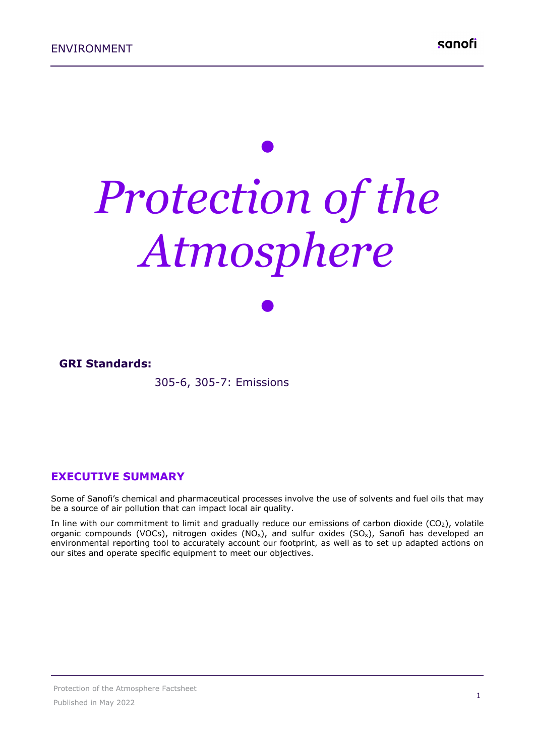# *• Protection of the Atmosphere*

*•*

#### **GRI Standards:**

305-6, 305-7: Emissions

#### **EXECUTIVE SUMMARY**

Some of Sanofi's chemical and pharmaceutical processes involve the use of solvents and fuel oils that may be a source of air pollution that can impact local air quality.

In line with our commitment to limit and gradually reduce our emissions of carbon dioxide ( $CO<sub>2</sub>$ ), volatile organic compounds (VOCs), nitrogen oxides (NO<sub>x</sub>), and sulfur oxides (SO<sub>x</sub>), Sanofi has developed an environmental reporting tool to accurately account our footprint, as well as to set up adapted actions on our sites and operate specific equipment to meet our objectives.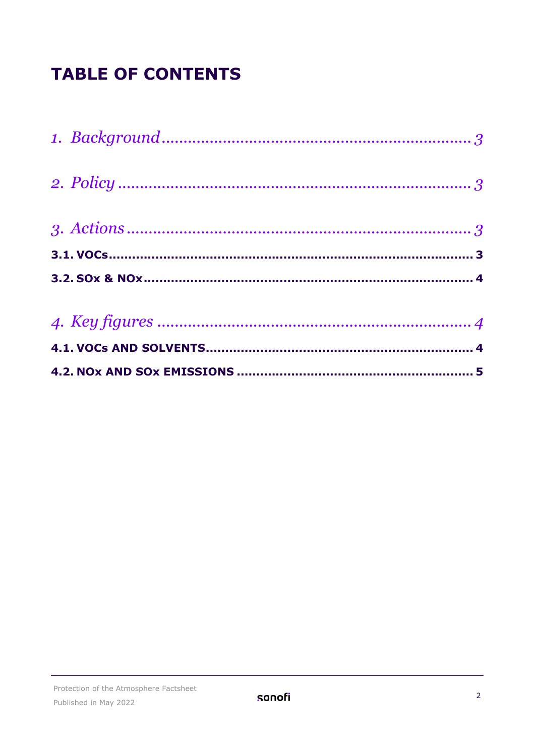## **TABLE OF CONTENTS**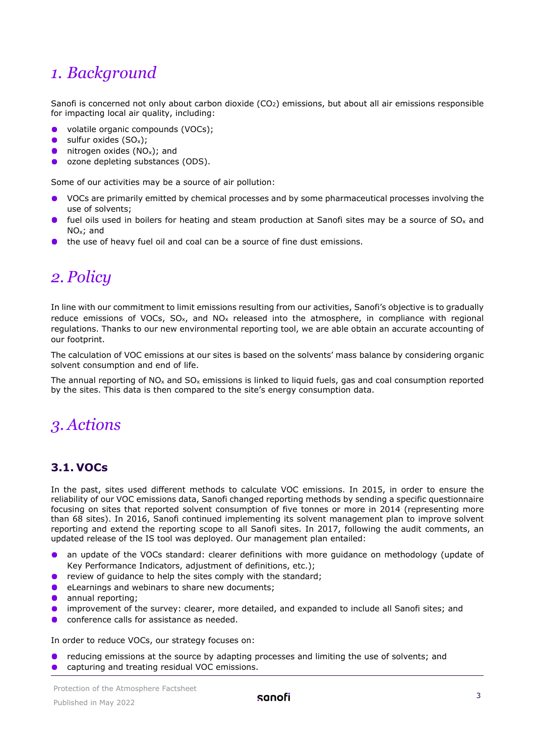## <span id="page-2-0"></span>*1. Background*

Sanofi is concerned not only about carbon dioxide (CO<sub>2</sub>) emissions, but about all air emissions responsible for impacting local air quality, including:

- $\bullet$ volatile organic compounds (VOCs);
- $\bullet$  sulfur oxides (SO<sub>x</sub>);
- nitrogen oxides (NOx); and  $\bullet$
- $\bullet$ ozone depleting substances (ODS).

Some of our activities may be a source of air pollution:

- VOCs are primarily emitted by chemical processes and by some pharmaceutical processes involving the use of solvents;
- fuel oils used in boilers for heating and steam production at Sanofi sites may be a source of  $SO<sub>x</sub>$  and  $\bullet$  $NO<sub>x</sub>$ ; and
- the use of heavy fuel oil and coal can be a source of fine dust emissions.  $\bullet$

## <span id="page-2-1"></span>*2. Policy*

In line with our commitment to limit emissions resulting from our activities, Sanofi's objective is to gradually reduce emissions of VOCs,  $SO<sub>x</sub>$ , and  $NO<sub>x</sub>$  released into the atmosphere, in compliance with regional regulations. Thanks to our new environmental reporting tool, we are able obtain an accurate accounting of our footprint.

The calculation of VOC emissions at our sites is based on the solvents' mass balance by considering organic solvent consumption and end of life.

The annual reporting of  $NO<sub>x</sub>$  and  $SO<sub>x</sub>$  emissions is linked to liquid fuels, gas and coal consumption reported by the sites. This data is then compared to the site's energy consumption data.

## <span id="page-2-2"></span>*3. Actions*

#### <span id="page-2-3"></span>**3.1. VOCs**

In the past, sites used different methods to calculate VOC emissions. In 2015, in order to ensure the reliability of our VOC emissions data, Sanofi changed reporting methods by sending a specific questionnaire focusing on sites that reported solvent consumption of five tonnes or more in 2014 (representing more than 68 sites). In 2016, Sanofi continued implementing its solvent management plan to improve solvent reporting and extend the reporting scope to all Sanofi sites. In 2017, following the audit comments, an updated release of the IS tool was deployed. Our management plan entailed:

- an update of the VOCs standard: clearer definitions with more guidance on methodology (update of Key Performance Indicators, adjustment of definitions, etc.);
- $\bullet$ review of guidance to help the sites comply with the standard;
- **e** eLearnings and webinars to share new documents;
- $\bullet$ annual reporting;
- $\bullet$ improvement of the survey: clearer, more detailed, and expanded to include all Sanofi sites; and
- conference calls for assistance as needed.  $\bullet$

In order to reduce VOCs, our strategy focuses on:

- reducing emissions at the source by adapting processes and limiting the use of solvents; and
- capturing and treating residual VOC emissions.

Protection of the Atmosphere Factsheet Published in May 2022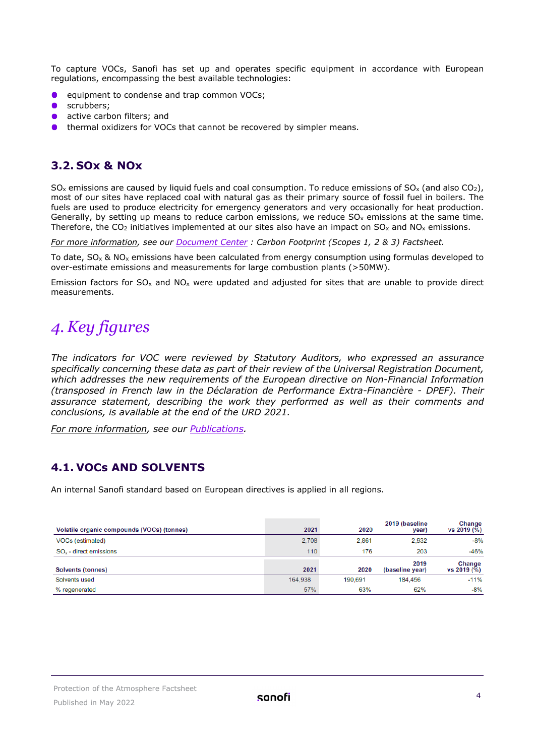To capture VOCs, Sanofi has set up and operates specific equipment in accordance with European regulations, encompassing the best available technologies:

- equipment to condense and trap common VOCs;
- $\bullet$ scrubbers;
- active carbon filters; and
- thermal oxidizers for VOCs that cannot be recovered by simpler means.

### <span id="page-3-0"></span>**3.2. SOx & NOx**

 $SO_x$  emissions are caused by liquid fuels and coal consumption. To reduce emissions of  $SO_x$  (and also  $CO_2$ ), most of our sites have replaced coal with natural gas as their primary source of fossil fuel in boilers. The fuels are used to produce electricity for emergency generators and very occasionally for heat production. Generally, by setting up means to reduce carbon emissions, we reduce  $SO<sub>x</sub>$  emissions at the same time. Therefore, the CO<sub>2</sub> initiatives implemented at our sites also have an impact on  $SO_x$  and  $NO_x$  emissions.

*For more information, see our [Document Center](https://www.sanofi.com/en/our-responsibility/documents-center) : Carbon Footprint (Scopes 1, 2 & 3) Factsheet.*

To date,  $SO_x \& NO_x$  emissions have been calculated from energy consumption using formulas developed to over-estimate emissions and measurements for large combustion plants (>50MW).

Emission factors for  $SO_x$  and  $NO_x$  were updated and adjusted for sites that are unable to provide direct measurements.

## <span id="page-3-1"></span>*4.Key figures*

*The indicators for VOC were reviewed by Statutory Auditors, who expressed an assurance specifically concerning these data as part of their review of the Universal Registration Document, which addresses the new requirements of the European directive on Non-Financial Information (transposed in French law in the Déclaration de Performance Extra-Financière - DPEF). Their assurance statement, describing the work they performed as well as their comments and conclusions, is available at the end of the URD 2021.*

<span id="page-3-2"></span>*For more information, see our [Publications.](https://www.sanofi.com/en/investors/reports-and-publications/financial-and-csr-reports)*

#### **4.1. VOCs AND SOLVENTS**

An internal Sanofi standard based on European directives is applied in all regions.

| Volatile organic compounds (VOCs) (tonnes) | 2021    | 2020    | 2019 (baseline<br>year) | <b>Change</b><br>vs 2019 (%) |
|--------------------------------------------|---------|---------|-------------------------|------------------------------|
| VOCs (estimated)                           | 2.708   | 2.861   | 2.932                   | $-8%$                        |
| SO <sub>v</sub> - direct emissions         | 110     | 176     | 203                     | $-46%$                       |
| <b>Solvents (tonnes)</b>                   | 2021    | 2020    | 2019<br>(baseline year) | Change<br>vs 2019 (%)        |
| Solvents used                              | 164,938 | 190.691 | 184,456                 | $-11%$                       |
| % regenerated                              | 57%     | 63%     | 62%                     | $-8%$                        |